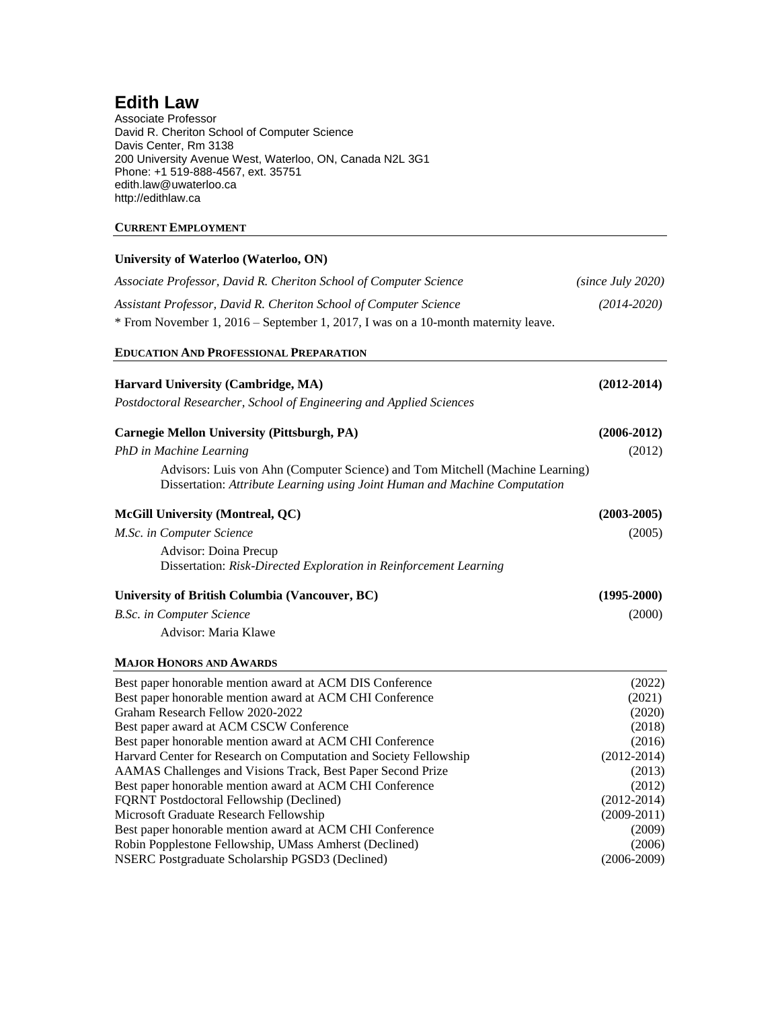# **Edith Law**

Associate Professor David R. Cheriton School of Computer Science Davis Center, Rm 3138 200 University Avenue West, Waterloo, ON, Canada N2L 3G1 Phone: +1 519-888-4567, ext. 35751 edith.law@uwaterloo.ca http://edithlaw.ca

# **CURRENT EMPLOYMENT**

# **University of Waterloo (Waterloo, ON)**

| Associate Professor, David R. Cheriton School of Computer Science                 | (since July 2020) |
|-----------------------------------------------------------------------------------|-------------------|
| Assistant Professor, David R. Cheriton School of Computer Science                 | $(2014 - 2020)$   |
| * From November 1, 2016 – September 1, 2017, I was on a 10-month maternity leave. |                   |

### **EDUCATION AND PROFESSIONAL PREPARATION**

| Harvard University (Cambridge, MA)                                                                                                                          | $(2012 - 2014)$ |
|-------------------------------------------------------------------------------------------------------------------------------------------------------------|-----------------|
| Postdoctoral Researcher, School of Engineering and Applied Sciences                                                                                         |                 |
| <b>Carnegie Mellon University (Pittsburgh, PA)</b>                                                                                                          | $(2006 - 2012)$ |
| PhD in Machine Learning                                                                                                                                     | (2012)          |
| Advisors: Luis von Ahn (Computer Science) and Tom Mitchell (Machine Learning)<br>Dissertation: Attribute Learning using Joint Human and Machine Computation |                 |
| <b>McGill University (Montreal, QC)</b>                                                                                                                     | $(2003 - 2005)$ |
| M.Sc. in Computer Science                                                                                                                                   | (2005)          |
| Advisor: Doina Precup<br>Dissertation: Risk-Directed Exploration in Reinforcement Learning                                                                  |                 |
| University of British Columbia (Vancouver, BC)                                                                                                              | $(1995-2000)$   |
| B.Sc. in Computer Science                                                                                                                                   | (2000)          |
| Advisor: Maria Klawe                                                                                                                                        |                 |
| <b>MAJOR HONORS AND AWARDS</b>                                                                                                                              |                 |
| Best paper honorable mention award at ACM DIS Conference                                                                                                    | (2022)          |
| Best paper honorable mention award at ACM CHI Conference                                                                                                    | (2021)          |
| Graham Research Fellow 2020-2022                                                                                                                            | (2020)          |
| Best paper award at ACM CSCW Conference                                                                                                                     | (2018)          |
| Best paper honorable mention award at ACM CHI Conference                                                                                                    | (2016)          |
| Harvard Center for Research on Computation and Society Fellowship                                                                                           | $(2012 - 2014)$ |
| AAMAS Challenges and Visions Track, Best Paper Second Prize                                                                                                 | (2013)          |
| Best paper honorable mention award at ACM CHI Conference                                                                                                    | (2012)          |
| <b>FQRNT</b> Postdoctoral Fellowship (Declined)                                                                                                             | $(2012 - 2014)$ |
| Microsoft Graduate Research Fellowship                                                                                                                      | $(2009-2011)$   |
| Best paper honorable mention award at ACM CHI Conference                                                                                                    | (2009)          |
| Robin Popplestone Fellowship, UMass Amherst (Declined)                                                                                                      | (2006)          |

NSERC Postgraduate Scholarship PGSD3 (Declined) (2006-2009)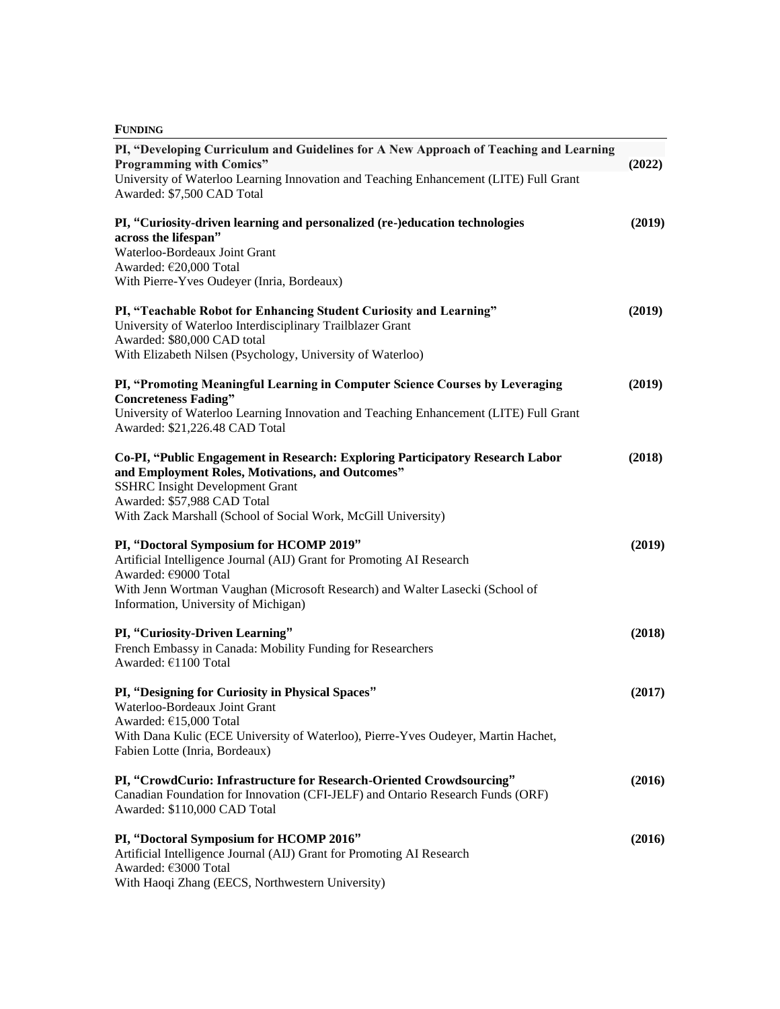# **FUNDING**

| PI, "Developing Curriculum and Guidelines for A New Approach of Teaching and Learning<br><b>Programming with Comics"</b>                                                                                                 | (2022) |
|--------------------------------------------------------------------------------------------------------------------------------------------------------------------------------------------------------------------------|--------|
| University of Waterloo Learning Innovation and Teaching Enhancement (LITE) Full Grant<br>Awarded: \$7,500 CAD Total                                                                                                      |        |
| PI, "Curiosity-driven learning and personalized (re-)education technologies<br>across the lifespan"                                                                                                                      | (2019) |
| Waterloo-Bordeaux Joint Grant<br>Awarded: €20,000 Total                                                                                                                                                                  |        |
| With Pierre-Yves Oudeyer (Inria, Bordeaux)                                                                                                                                                                               |        |
| PI, "Teachable Robot for Enhancing Student Curiosity and Learning"<br>University of Waterloo Interdisciplinary Trailblazer Grant<br>Awarded: \$80,000 CAD total                                                          | (2019) |
| With Elizabeth Nilsen (Psychology, University of Waterloo)                                                                                                                                                               |        |
| PI, "Promoting Meaningful Learning in Computer Science Courses by Leveraging<br><b>Concreteness Fading"</b>                                                                                                              | (2019) |
| University of Waterloo Learning Innovation and Teaching Enhancement (LITE) Full Grant<br>Awarded: \$21,226.48 CAD Total                                                                                                  |        |
| Co-PI, "Public Engagement in Research: Exploring Participatory Research Labor<br>and Employment Roles, Motivations, and Outcomes"<br><b>SSHRC</b> Insight Development Grant<br>Awarded: \$57,988 CAD Total               | (2018) |
| With Zack Marshall (School of Social Work, McGill University)                                                                                                                                                            |        |
| PI, "Doctoral Symposium for HCOMP 2019"<br>Artificial Intelligence Journal (AIJ) Grant for Promoting AI Research<br>Awarded: €9000 Total<br>With Jenn Wortman Vaughan (Microsoft Research) and Walter Lasecki (School of | (2019) |
| Information, University of Michigan)                                                                                                                                                                                     |        |
| PI, "Curiosity-Driven Learning"<br>French Embassy in Canada: Mobility Funding for Researchers<br>Awarded: €1100 Total                                                                                                    | (2018) |
| PI, "Designing for Curiosity in Physical Spaces"<br>Waterloo-Bordeaux Joint Grant<br>Awarded: €15,000 Total                                                                                                              | (2017) |
| With Dana Kulic (ECE University of Waterloo), Pierre-Yves Oudeyer, Martin Hachet,<br>Fabien Lotte (Inria, Bordeaux)                                                                                                      |        |
| PI, "CrowdCurio: Infrastructure for Research-Oriented Crowdsourcing"<br>Canadian Foundation for Innovation (CFI-JELF) and Ontario Research Funds (ORF)<br>Awarded: \$110,000 CAD Total                                   | (2016) |
| PI, "Doctoral Symposium for HCOMP 2016"<br>Artificial Intelligence Journal (AIJ) Grant for Promoting AI Research<br>Awarded: €3000 Total<br>With Haoqi Zhang (EECS, Northwestern University)                             | (2016) |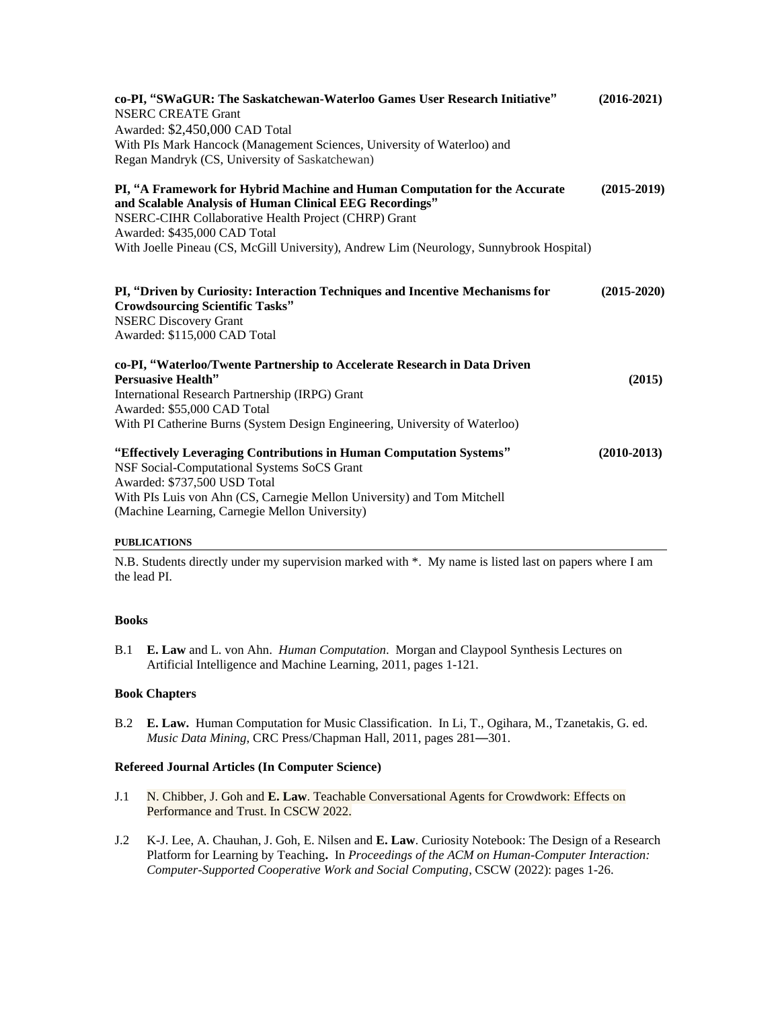| co-PI, "SWaGUR: The Saskatchewan-Waterloo Games User Research Initiative"                                                                                                                                                                                                       | $(2016 - 2021)$ |
|---------------------------------------------------------------------------------------------------------------------------------------------------------------------------------------------------------------------------------------------------------------------------------|-----------------|
| <b>NSERC CREATE Grant</b>                                                                                                                                                                                                                                                       |                 |
| Awarded: \$2,450,000 CAD Total                                                                                                                                                                                                                                                  |                 |
| With PIs Mark Hancock (Management Sciences, University of Waterloo) and                                                                                                                                                                                                         |                 |
| Regan Mandryk (CS, University of Saskatchewan)                                                                                                                                                                                                                                  |                 |
| PI, "A Framework for Hybrid Machine and Human Computation for the Accurate<br>and Scalable Analysis of Human Clinical EEG Recordings"                                                                                                                                           | $(2015-2019)$   |
| NSERC-CIHR Collaborative Health Project (CHRP) Grant<br>Awarded: \$435,000 CAD Total                                                                                                                                                                                            |                 |
| With Joelle Pineau (CS, McGill University), Andrew Lim (Neurology, Sunnybrook Hospital)                                                                                                                                                                                         |                 |
| PI, "Driven by Curiosity: Interaction Techniques and Incentive Mechanisms for<br><b>Crowdsourcing Scientific Tasks"</b><br><b>NSERC Discovery Grant</b><br>Awarded: \$115,000 CAD Total                                                                                         | $(2015-2020)$   |
| co-PI, "Waterloo/Twente Partnership to Accelerate Research in Data Driven<br><b>Persuasive Health"</b><br>International Research Partnership (IRPG) Grant<br>Awarded: \$55,000 CAD Total<br>With PI Catherine Burns (System Design Engineering, University of Waterloo)         | (2015)          |
| "Effectively Leveraging Contributions in Human Computation Systems"<br>NSF Social-Computational Systems SoCS Grant<br>Awarded: \$737,500 USD Total<br>With PIs Luis von Ahn (CS, Carnegie Mellon University) and Tom Mitchell<br>(Machine Learning, Carnegie Mellon University) | $(2010-2013)$   |

#### **PUBLICATIONS**

N.B. Students directly under my supervision marked with \*. My name is listed last on papers where I am the lead PI.

### **Books**

B.1 **E. Law** and L. von Ahn. *Human Computation*. Morgan and Claypool Synthesis Lectures on Artificial Intelligence and Machine Learning, 2011, pages 1-121.

#### **Book Chapters**

B.2 **E. Law.** Human Computation for Music Classification. In Li, T., Ogihara, M., Tzanetakis, G. ed. *Music Data Mining*, CRC Press/Chapman Hall, 2011, pages 281—301.

#### **Refereed Journal Articles (In Computer Science)**

- J.1 N. Chibber, J. Goh and **E. Law**. Teachable Conversational Agents for Crowdwork: Effects on Performance and Trust. In CSCW 2022.
- J.2 K-J. Lee, A. Chauhan, J. Goh, E. Nilsen and **E. Law**. Curiosity Notebook: The Design of a Research Platform for Learning by Teaching**.** In *Proceedings of the ACM on Human-Computer Interaction: Computer-Supported Cooperative Work and Social Computing*, CSCW (2022): pages 1-26.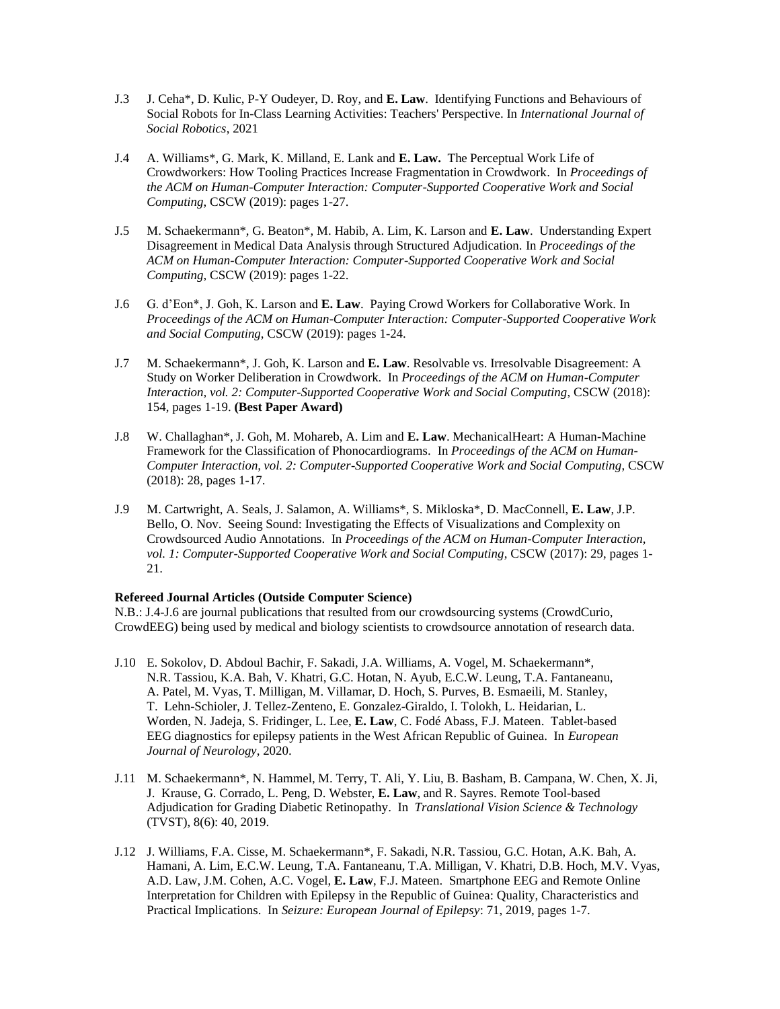- J.3 J. Ceha\*, D. Kulic, P-Y Oudeyer, D. Roy, and **E. Law**. Identifying Functions and Behaviours of Social Robots for In-Class Learning Activities: Teachers' Perspective. In *International Journal of Social Robotics*, 2021
- J.4 A. Williams\*, G. Mark, K. Milland, E. Lank and **E. Law.** The Perceptual Work Life of Crowdworkers: How Tooling Practices Increase Fragmentation in Crowdwork. In *Proceedings of the ACM on Human-Computer Interaction: Computer-Supported Cooperative Work and Social Computing*, CSCW (2019): pages 1-27.
- J.5 M. Schaekermann\*, G. Beaton\*, M. Habib, A. Lim, K. Larson and **E. Law**. Understanding Expert Disagreement in Medical Data Analysis through Structured Adjudication. In *Proceedings of the ACM on Human-Computer Interaction: Computer-Supported Cooperative Work and Social Computing*, CSCW (2019): pages 1-22.
- J.6 G. d'Eon\*, J. Goh, K. Larson and **E. Law**. Paying Crowd Workers for Collaborative Work. In *Proceedings of the ACM on Human-Computer Interaction: Computer-Supported Cooperative Work and Social Computing*, CSCW (2019): pages 1-24.
- J.7 M. Schaekermann\*, J. Goh, K. Larson and **E. Law**. Resolvable vs. Irresolvable Disagreement: A Study on Worker Deliberation in Crowdwork. In *Proceedings of the ACM on Human-Computer Interaction, vol. 2: Computer-Supported Cooperative Work and Social Computing*, CSCW (2018): 154, pages 1-19. **(Best Paper Award)**
- J.8 W. Challaghan\*, J. Goh, M. Mohareb, A. Lim and **E. Law**. MechanicalHeart: A Human-Machine Framework for the Classification of Phonocardiograms. In *Proceedings of the ACM on Human-Computer Interaction, vol. 2: Computer-Supported Cooperative Work and Social Computing*, CSCW (2018): 28, pages 1-17.
- J.9 M. Cartwright, A. Seals, J. Salamon, A. Williams\*, S. Mikloska\*, D. MacConnell, **E. Law**, J.P. Bello, O. Nov. Seeing Sound: Investigating the Effects of Visualizations and Complexity on Crowdsourced Audio Annotations. In *Proceedings of the ACM on Human-Computer Interaction, vol. 1: Computer-Supported Cooperative Work and Social Computing*, CSCW (2017): 29, pages 1- 21.

#### **Refereed Journal Articles (Outside Computer Science)**

N.B.: J.4-J.6 are journal publications that resulted from our crowdsourcing systems (CrowdCurio, CrowdEEG) being used by medical and biology scientists to crowdsource annotation of research data.

- J.10 E. Sokolov, D. Abdoul Bachir, F. Sakadi, J.A. Williams, A. Vogel, M. Schaekermann\*, N.R. Tassiou, K.A. Bah, V. Khatri, G.C. Hotan, N. Ayub, E.C.W. Leung, T.A. Fantaneanu, A. Patel, M. Vyas, T. Milligan, M. Villamar, D. Hoch, S. Purves, B. Esmaeili, M. Stanley, T. Lehn-Schioler, J. Tellez-Zenteno, E. Gonzalez-Giraldo, I. Tolokh, L. Heidarian, L. Worden, N. Jadeja, S. Fridinger, L. Lee, **E. Law**, C. Fodé Abass, F.J. Mateen. Tablet-based EEG diagnostics for epilepsy patients in the West African Republic of Guinea. In *European Journal of Neurology*, 2020.
- J.11 M. Schaekermann\*, N. Hammel, M. Terry, T. Ali, Y. Liu, B. Basham, B. Campana, W. Chen, X. Ji, J. Krause, G. Corrado, L. Peng, D. Webster, **E. Law**, and R. Sayres. Remote Tool-based Adjudication for Grading Diabetic Retinopathy. In *Translational Vision Science & Technology* (TVST), 8(6): 40, 2019.
- J.12 J. Williams, F.A. Cisse, M. Schaekermann\*, F. Sakadi, N.R. Tassiou, G.C. Hotan, A.K. Bah, A. Hamani, A. Lim, E.C.W. Leung, T.A. Fantaneanu, T.A. Milligan, V. Khatri, D.B. Hoch, M.V. Vyas, A.D. Law, J.M. Cohen, A.C. Vogel, **E. Law**, F.J. Mateen. Smartphone EEG and Remote Online Interpretation for Children with Epilepsy in the Republic of Guinea: Quality, Characteristics and Practical Implications. In *Seizure: European Journal of Epilepsy*: 71, 2019, pages 1-7.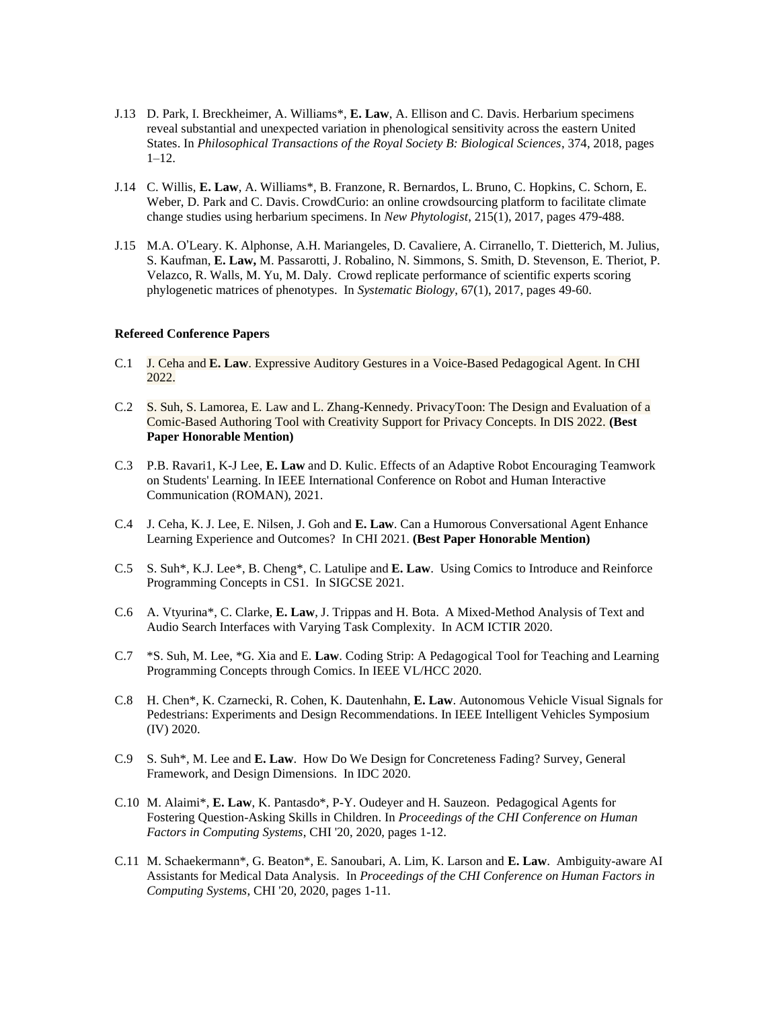- J.13 D. Park, I. Breckheimer, A. Williams\*, **E. Law**, A. Ellison and C. Davis. Herbarium specimens reveal substantial and unexpected variation in phenological sensitivity across the eastern United States. In *Philosophical Transactions of the Royal Society B: Biological Sciences*, 374, 2018, pages 1–12.
- J.14 C. Willis, **E. Law**, A. Williams\*, B. Franzone, R. Bernardos, L. Bruno, C. Hopkins, C. Schorn, E. Weber, D. Park and C. Davis. CrowdCurio: an online crowdsourcing platform to facilitate climate change studies using herbarium specimens. In *New Phytologist*, 215(1), 2017, pages 479-488.
- J.15 M.A. O'Leary. K. Alphonse, A.H. Mariangeles, D. Cavaliere, A. Cirranello, T. Dietterich, M. Julius, S. Kaufman, **E. Law,** M. Passarotti, J. Robalino, N. Simmons, S. Smith, D. Stevenson, E. Theriot, P. Velazco, R. Walls, M. Yu, M. Daly. Crowd replicate performance of scientific experts scoring phylogenetic matrices of phenotypes. In *Systematic Biology*, 67(1), 2017, pages 49-60.

#### **Refereed Conference Papers**

- C.1 J. Ceha and **E. Law**. Expressive Auditory Gestures in a Voice-Based Pedagogical Agent. In CHI 2022.
- C.2 S. Suh, S. Lamorea, E. Law and L. Zhang-Kennedy. PrivacyToon: The Design and Evaluation of a Comic-Based Authoring Tool with Creativity Support for Privacy Concepts. In DIS 2022. **(Best Paper Honorable Mention)**
- C.3 P.B. Ravari1, K-J Lee, **E. Law** and D. Kulic. Effects of an Adaptive Robot Encouraging Teamwork on Students' Learning. In IEEE International Conference on Robot and Human Interactive Communication (ROMAN), 2021.
- C.4 J. Ceha, K. J. Lee, E. Nilsen, J. Goh and **E. Law**. Can a Humorous Conversational Agent Enhance Learning Experience and Outcomes? In CHI 2021. **(Best Paper Honorable Mention)**
- C.5 S. Suh\*, K.J. Lee\*, B. Cheng\*, C. Latulipe and **E. Law**. Using Comics to Introduce and Reinforce Programming Concepts in CS1. In SIGCSE 2021.
- C.6 A. Vtyurina\*, C. Clarke, **E. Law**, J. Trippas and H. Bota. A Mixed-Method Analysis of Text and Audio Search Interfaces with Varying Task Complexity. In ACM ICTIR 2020.
- C.7 \*S. Suh, M. Lee, \*G. Xia and E. **Law**. Coding Strip: A Pedagogical Tool for Teaching and Learning Programming Concepts through Comics. In IEEE VL/HCC 2020.
- C.8 H. Chen\*, K. Czarnecki, R. Cohen, K. Dautenhahn, **E. Law**. Autonomous Vehicle Visual Signals for Pedestrians: Experiments and Design Recommendations. In IEEE Intelligent Vehicles Symposium (IV) 2020.
- C.9 S. Suh\*, M. Lee and **E. Law**. How Do We Design for Concreteness Fading? Survey, General Framework, and Design Dimensions. In IDC 2020.
- C.10 M. Alaimi\*, **E. Law**, K. Pantasdo\*, P-Y. Oudeyer and H. Sauzeon. Pedagogical Agents for Fostering Question-Asking Skills in Children. In *Proceedings of the CHI Conference on Human Factors in Computing Systems*, CHI '20, 2020, pages 1-12.
- C.11 M. Schaekermann\*, G. Beaton\*, E. Sanoubari, A. Lim, K. Larson and **E. Law**. Ambiguity-aware AI Assistants for Medical Data Analysis. In *Proceedings of the CHI Conference on Human Factors in Computing Systems*, CHI '20, 2020, pages 1-11.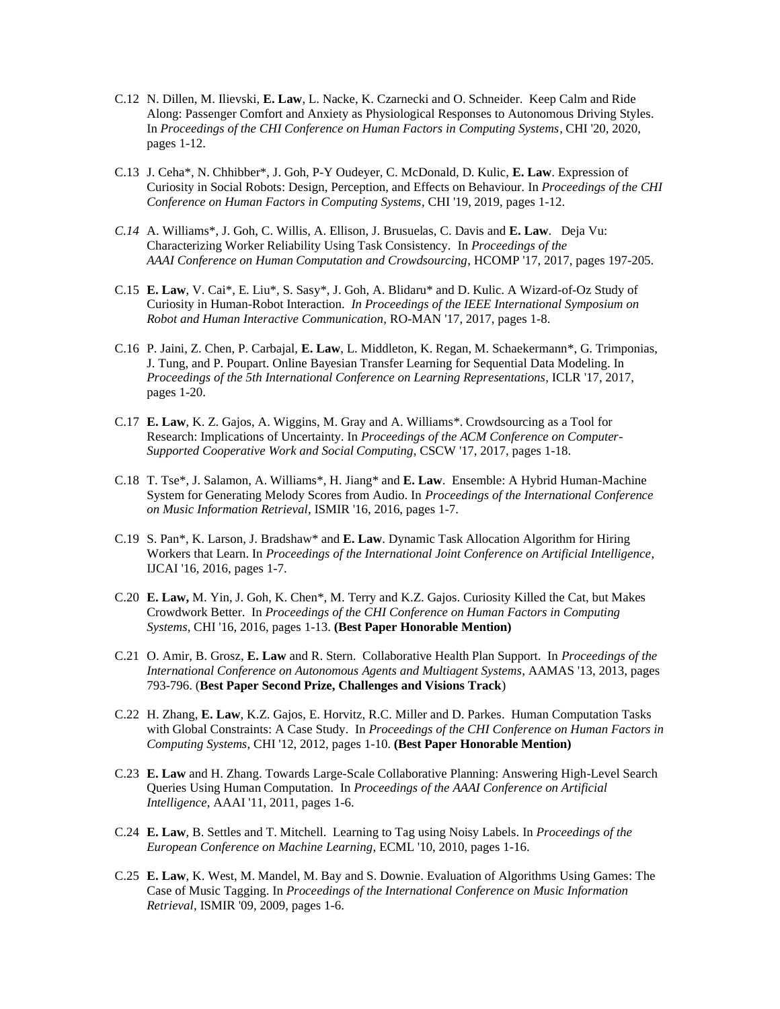- C.12 N. Dillen, M. Ilievski, **E. Law**, L. Nacke, K. Czarnecki and O. Schneider. Keep Calm and Ride Along: Passenger Comfort and Anxiety as Physiological Responses to Autonomous Driving Styles. In *Proceedings of the CHI Conference on Human Factors in Computing Systems*, CHI '20, 2020, pages 1-12.
- C.13 J. Ceha\*, N. Chhibber\*, J. Goh, P-Y Oudeyer, C. McDonald, D. Kulic, **E. Law**. Expression of Curiosity in Social Robots: Design, Perception, and Effects on Behaviour. In *Proceedings of the CHI Conference on Human Factors in Computing Systems*, CHI '19, 2019, pages 1-12.
- *C.14* A. Williams\*, J. Goh, C. Willis, A. Ellison, J. Brusuelas, C. Davis and **E. Law**. Deja Vu: Characterizing Worker Reliability Using Task Consistency. In *Proceedings of the AAAI Conference on Human Computation and Crowdsourcing*, HCOMP '17, 2017, pages 197-205.
- C.15 **E. Law**, V. Cai\*, E. Liu\*, S. Sasy\*, J. Goh, A. Blidaru\* and D. Kulic. A Wizard-of-Oz Study of Curiosity in Human-Robot Interaction. *In Proceedings of the IEEE International Symposium on Robot and Human Interactive Communication*, RO-MAN '17, 2017, pages 1-8.
- C.16 P. Jaini, Z. Chen, P. Carbajal, **E. Law**, L. Middleton, K. Regan, M. Schaekermann\*, G. Trimponias, J. Tung, and P. Poupart. Online Bayesian Transfer Learning for Sequential Data Modeling. In *Proceedings of the 5th International Conference on Learning Representations*, ICLR '17, 2017, pages 1-20.
- C.17 **E. Law**, K. Z. Gajos, A. Wiggins, M. Gray and A. Williams\*. Crowdsourcing as a Tool for Research: Implications of Uncertainty. In *Proceedings of the ACM Conference on Computer-Supported Cooperative Work and Social Computing*, CSCW '17, 2017, pages 1-18.
- C.18 T. Tse\*, J. Salamon, A. Williams\*, H. Jiang\* and **E. Law**. Ensemble: A Hybrid Human-Machine System for Generating Melody Scores from Audio. In *Proceedings of the International Conference on Music Information Retrieval*, ISMIR '16, 2016, pages 1-7.
- C.19 S. Pan\*, K. Larson, J. Bradshaw\* and **E. Law**. Dynamic Task Allocation Algorithm for Hiring Workers that Learn. In *Proceedings of the International Joint Conference on Artificial Intelligence*, IJCAI '16, 2016, pages 1-7.
- C.20 **E. Law,** M. Yin, J. Goh, K. Chen\*, M. Terry and K.Z. Gajos. Curiosity Killed the Cat, but Makes Crowdwork Better. In *Proceedings of the CHI Conference on Human Factors in Computing Systems*, CHI '16, 2016, pages 1-13. **(Best Paper Honorable Mention)**
- C.21 O. Amir, B. Grosz, **E. Law** and R. Stern. Collaborative Health Plan Support. In *Proceedings of the International Conference on Autonomous Agents and Multiagent Systems*, AAMAS '13, 2013, pages 793-796. (**Best Paper Second Prize, Challenges and Visions Track**)
- C.22 H. Zhang, **E. Law**, K.Z. Gajos, E. Horvitz, R.C. Miller and D. Parkes. Human Computation Tasks with Global Constraints: A Case Study. In *Proceedings of the CHI Conference on Human Factors in Computing Systems*, CHI '12, 2012, pages 1-10. **(Best Paper Honorable Mention)**
- C.23 **E. Law** and H. Zhang. Towards Large-Scale Collaborative Planning: Answering High-Level Search Queries Using Human Computation. In *Proceedings of the AAAI Conference on Artificial Intelligence*, AAAI '11, 2011, pages 1-6.
- C.24 **E. Law**, B. Settles and T. Mitchell. Learning to Tag using Noisy Labels. In *Proceedings of the European Conference on Machine Learning*, ECML '10, 2010, pages 1-16.
- C.25 **E. Law**, K. West, M. Mandel, M. Bay and S. Downie. Evaluation of Algorithms Using Games: The Case of Music Tagging. In *Proceedings of the International Conference on Music Information Retrieval*, ISMIR '09, 2009, pages 1-6.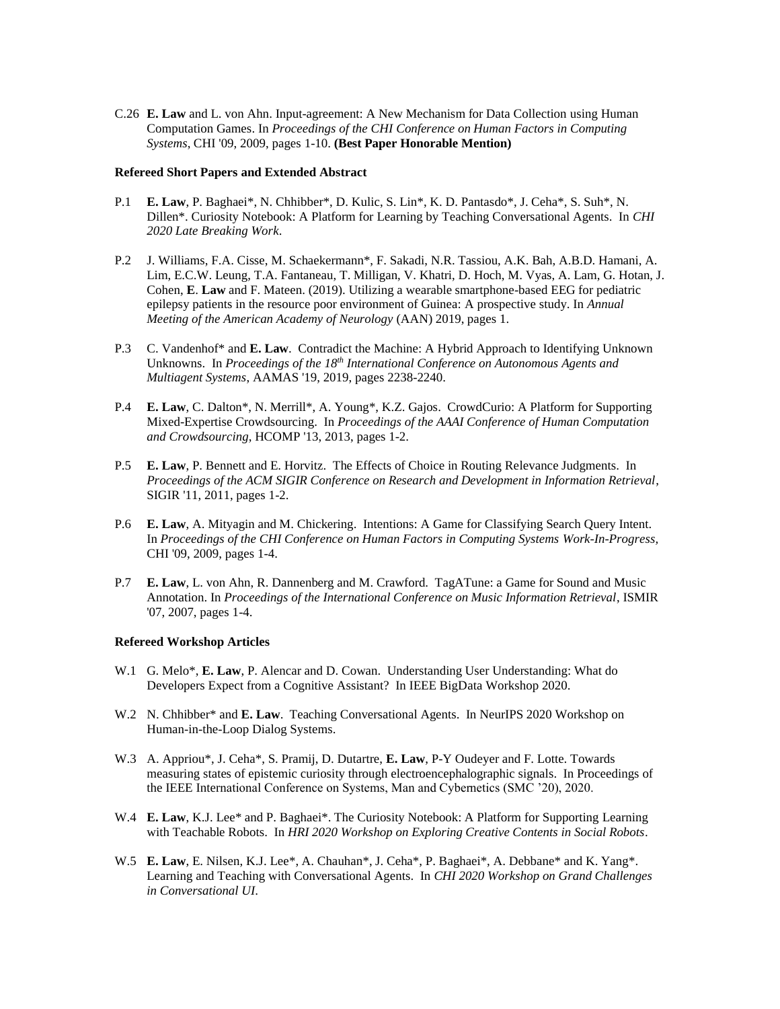C.26 **E. Law** and L. von Ahn. Input-agreement: A New Mechanism for Data Collection using Human Computation Games. In *Proceedings of the CHI Conference on Human Factors in Computing Systems*, CHI '09, 2009, pages 1-10. **(Best Paper Honorable Mention)**

#### **Refereed Short Papers and Extended Abstract**

- P.1 **E. Law**, P. Baghaei\*, N. Chhibber\*, D. Kulic, S. Lin\*, K. D. Pantasdo\*, J. Ceha\*, S. Suh\*, N. Dillen\*. Curiosity Notebook: A Platform for Learning by Teaching Conversational Agents. In *CHI 2020 Late Breaking Work*.
- P.2 J. Williams, F.A. Cisse, M. Schaekermann\*, F. Sakadi, N.R. Tassiou, A.K. Bah, A.B.D. Hamani, A. Lim, E.C.W. Leung, T.A. Fantaneau, T. Milligan, V. Khatri, D. Hoch, M. Vyas, A. Lam, G. Hotan, J. Cohen, **E**. **Law** and F. Mateen. (2019). Utilizing a wearable smartphone-based EEG for pediatric epilepsy patients in the resource poor environment of Guinea: A prospective study. In *Annual Meeting of the American Academy of Neurology* (AAN) 2019, pages 1.
- P.3 C. Vandenhof\* and **E. Law**. Contradict the Machine: A Hybrid Approach to Identifying Unknown Unknowns. In *Proceedings of the 18th International Conference on Autonomous Agents and Multiagent Systems*, AAMAS '19, 2019, pages 2238-2240.
- P.4 **E. Law**, C. Dalton\*, N. Merrill\*, A. Young\*, K.Z. Gajos. CrowdCurio: A Platform for Supporting Mixed-Expertise Crowdsourcing. In *Proceedings of the AAAI Conference of Human Computation and Crowdsourcing*, HCOMP '13, 2013, pages 1-2.
- P.5 **E. Law**, P. Bennett and E. Horvitz. The Effects of Choice in Routing Relevance Judgments. In *Proceedings of the ACM SIGIR Conference on Research and Development in Information Retrieval*, SIGIR '11, 2011, pages 1-2.
- P.6 **E. Law**, A. Mityagin and M. Chickering. Intentions: A Game for Classifying Search Query Intent. In *Proceedings of the CHI Conference on Human Factors in Computing Systems Work-In-Progress,*  CHI '09, 2009, pages 1-4.
- P.7 **E. Law**, L. von Ahn, R. Dannenberg and M. Crawford. TagATune: a Game for Sound and Music Annotation. In *Proceedings of the International Conference on Music Information Retrieval*, ISMIR '07, 2007, pages 1-4.

#### **Refereed Workshop Articles**

- W.1 G. Melo\*, **E. Law**, P. Alencar and D. Cowan. Understanding User Understanding: What do Developers Expect from a Cognitive Assistant? In IEEE BigData Workshop 2020.
- W.2 N. Chhibber\* and **E. Law**. Teaching Conversational Agents. In NeurIPS 2020 Workshop on Human-in-the-Loop Dialog Systems.
- W.3 A. Appriou\*, J. Ceha\*, S. Pramij, D. Dutartre, **E. Law**, P-Y Oudeyer and F. Lotte. Towards measuring states of epistemic curiosity through electroencephalographic signals. In Proceedings of the IEEE International Conference on Systems, Man and Cybernetics (SMC '20), 2020.
- W.4 **E. Law**, K.J. Lee\* and P. Baghaei\*. The Curiosity Notebook: A Platform for Supporting Learning with Teachable Robots. In *HRI 2020 Workshop on Exploring Creative Contents in Social Robots*.
- W.5 **E. Law**, E. Nilsen, K.J. Lee\*, A. Chauhan\*, J. Ceha\*, P. Baghaei\*, A. Debbane\* and K. Yang\*. Learning and Teaching with Conversational Agents. In *CHI 2020 Workshop on Grand Challenges in Conversational UI*.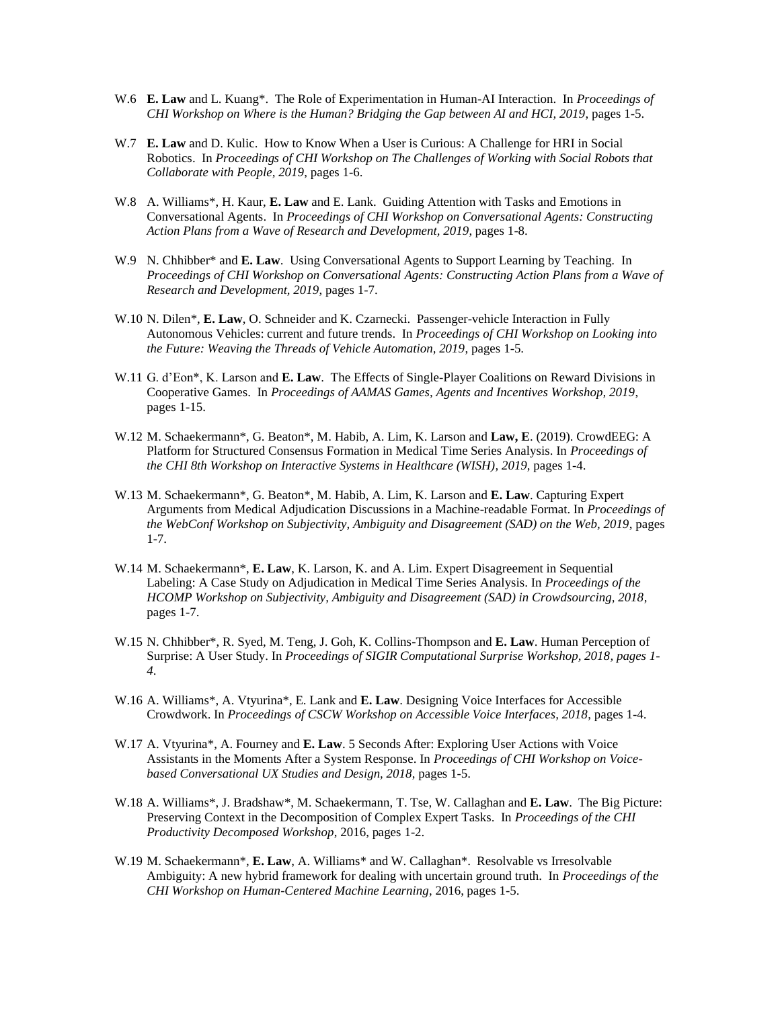- W.6 **E. Law** and L. Kuang\*. The Role of Experimentation in Human-AI Interaction. In *Proceedings of CHI Workshop on Where is the Human? Bridging the Gap between AI and HCI, 2019*, pages 1-5.
- W.7 **E. Law** and D. Kulic. How to Know When a User is Curious: A Challenge for HRI in Social Robotics. In *Proceedings of CHI Workshop on The Challenges of Working with Social Robots that Collaborate with People, 2019*, pages 1-6.
- W.8 A. Williams\*, H. Kaur, **E. Law** and E. Lank. Guiding Attention with Tasks and Emotions in Conversational Agents. In *Proceedings of CHI Workshop on Conversational Agents: Constructing Action Plans from a Wave of Research and Development, 2019*, pages 1-8.
- W.9 N. Chhibber<sup>\*</sup> and **E. Law**. Using Conversational Agents to Support Learning by Teaching. In *Proceedings of CHI Workshop on Conversational Agents: Constructing Action Plans from a Wave of Research and Development, 2019*, pages 1-7.
- W.10 N. Dilen\*, **E. Law**, O. Schneider and K. Czarnecki. Passenger-vehicle Interaction in Fully Autonomous Vehicles: current and future trends. In *Proceedings of CHI Workshop on Looking into the Future: Weaving the Threads of Vehicle Automation, 2019*, pages 1-5.
- W.11 G. d'Eon\*, K. Larson and **E. Law**. The Effects of Single-Player Coalitions on Reward Divisions in Cooperative Games. In *Proceedings of AAMAS Games, Agents and Incentives Workshop, 2019*, pages 1-15.
- W.12 M. Schaekermann\*, G. Beaton\*, M. Habib, A. Lim, K. Larson and **Law, E**. (2019). CrowdEEG: A Platform for Structured Consensus Formation in Medical Time Series Analysis. In *Proceedings of the CHI 8th Workshop on Interactive Systems in Healthcare (WISH), 2019*, pages 1-4.
- W.13 M. Schaekermann\*, G. Beaton\*, M. Habib, A. Lim, K. Larson and **E. Law**. Capturing Expert Arguments from Medical Adjudication Discussions in a Machine-readable Format. In *Proceedings of the WebConf Workshop on Subjectivity, Ambiguity and Disagreement (SAD) on the Web, 2019*, pages 1-7.
- W.14 M. Schaekermann\*, **E. Law**, K. Larson, K. and A. Lim. Expert Disagreement in Sequential Labeling: A Case Study on Adjudication in Medical Time Series Analysis. In *Proceedings of the HCOMP Workshop on Subjectivity, Ambiguity and Disagreement (SAD) in Crowdsourcing, 2018*, pages 1-7.
- W.15 N. Chhibber\*, R. Syed, M. Teng, J. Goh, K. Collins-Thompson and **E. Law**. Human Perception of Surprise: A User Study. In *Proceedings of SIGIR Computational Surprise Workshop, 2018, pages 1- 4*.
- W.16 A. Williams\*, A. Vtyurina\*, E. Lank and **E. Law**. Designing Voice Interfaces for Accessible Crowdwork. In *Proceedings of CSCW Workshop on Accessible Voice Interfaces, 2018*, pages 1-4.
- W.17 A. Vtyurina\*, A. Fourney and **E. Law**. 5 Seconds After: Exploring User Actions with Voice Assistants in the Moments After a System Response. In *Proceedings of CHI Workshop on Voicebased Conversational UX Studies and Design, 2018*, pages 1-5.
- W.18 A. Williams\*, J. Bradshaw\*, M. Schaekermann, T. Tse, W. Callaghan and **E. Law**. The Big Picture: Preserving Context in the Decomposition of Complex Expert Tasks. In *Proceedings of the CHI Productivity Decomposed Workshop*, 2016, pages 1-2.
- W.19 M. Schaekermann\*, **E. Law**, A. Williams\* and W. Callaghan\*. Resolvable vs Irresolvable Ambiguity: A new hybrid framework for dealing with uncertain ground truth. In *Proceedings of the CHI Workshop on Human-Centered Machine Learning*, 2016, pages 1-5.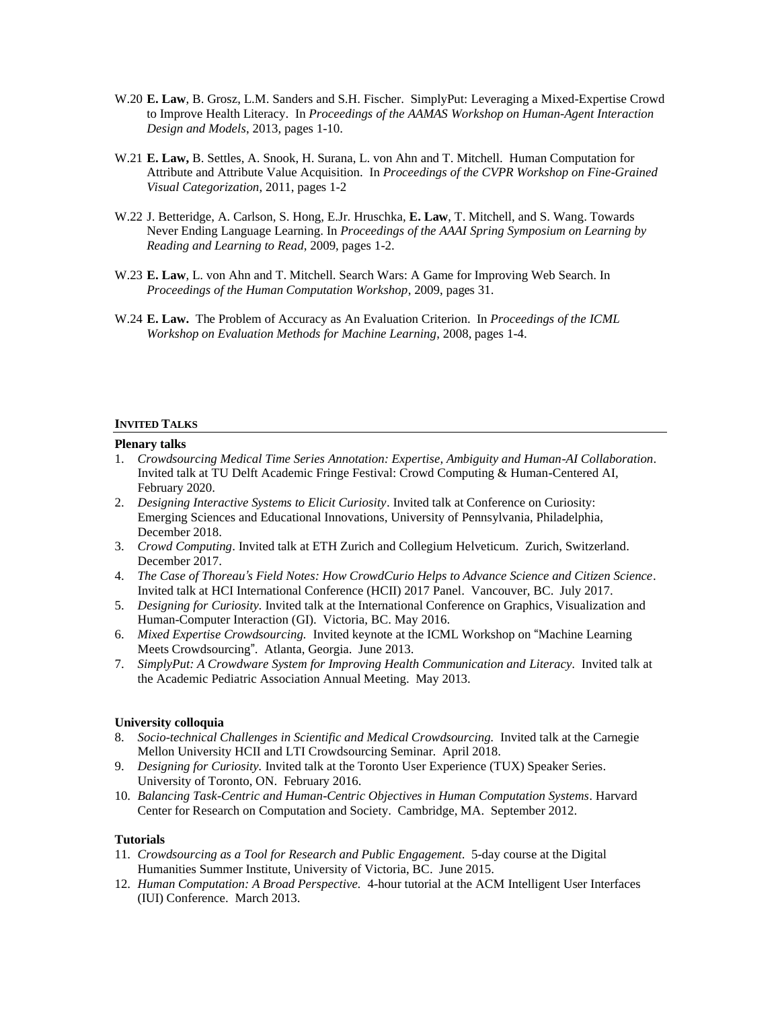- W.20 **E. Law**, B. Grosz, L.M. Sanders and S.H. Fischer. SimplyPut: Leveraging a Mixed-Expertise Crowd to Improve Health Literacy. In *Proceedings of the AAMAS Workshop on Human-Agent Interaction Design and Models*, 2013, pages 1-10.
- W.21 **E. Law,** B. Settles, A. Snook, H. Surana, L. von Ahn and T. Mitchell. Human Computation for Attribute and Attribute Value Acquisition. In *Proceedings of the CVPR Workshop on Fine-Grained Visual Categorization*, 2011, pages 1-2
- W.22 J. Betteridge, A. Carlson, S. Hong, E.Jr. Hruschka, **E. Law**, T. Mitchell, and S. Wang. Towards Never Ending Language Learning. In *Proceedings of the AAAI Spring Symposium on Learning by Reading and Learning to Read*, 2009, pages 1-2.
- W.23 **E. Law**, L. von Ahn and T. Mitchell. Search Wars: A Game for Improving Web Search. In *Proceedings of the Human Computation Workshop*, 2009, pages 31.
- W.24 **E. Law.** The Problem of Accuracy as An Evaluation Criterion. In *Proceedings of the ICML Workshop on Evaluation Methods for Machine Learning*, 2008, pages 1-4.

### **INVITED TALKS**

#### **Plenary talks**

- 1. *Crowdsourcing Medical Time Series Annotation: Expertise, Ambiguity and Human-AI Collaboration*. Invited talk at TU Delft Academic Fringe Festival: Crowd Computing & Human-Centered AI, February 2020.
- 2. *Designing Interactive Systems to Elicit Curiosity*. Invited talk at Conference on Curiosity: Emerging Sciences and Educational Innovations, University of Pennsylvania, Philadelphia, December 2018.
- 3. *Crowd Computing*. Invited talk at ETH Zurich and Collegium Helveticum. Zurich, Switzerland. December 2017.
- 4. *The Case of Thoreau's Field Notes: How CrowdCurio Helps to Advance Science and Citizen Science*. Invited talk at HCI International Conference (HCII) 2017 Panel. Vancouver, BC. July 2017.
- 5. *Designing for Curiosity.* Invited talk at the International Conference on Graphics, Visualization and Human-Computer Interaction (GI). Victoria, BC. May 2016.
- 6. *Mixed Expertise Crowdsourcing.* Invited keynote at the ICML Workshop on "Machine Learning Meets Crowdsourcing". Atlanta, Georgia. June 2013.
- 7. *SimplyPut: A Crowdware System for Improving Health Communication and Literacy.* Invited talk at the Academic Pediatric Association Annual Meeting. May 2013.

#### **University colloquia**

- 8. *Socio-technical Challenges in Scientific and Medical Crowdsourcing.* Invited talk at the Carnegie Mellon University HCII and LTI Crowdsourcing Seminar. April 2018.
- 9. *Designing for Curiosity.* Invited talk at the Toronto User Experience (TUX) Speaker Series. University of Toronto, ON. February 2016.
- 10. *Balancing Task-Centric and Human-Centric Objectives in Human Computation Systems.* Harvard Center for Research on Computation and Society. Cambridge, MA. September 2012.

### **Tutorials**

- 11. *Crowdsourcing as a Tool for Research and Public Engagement*. 5-day course at the Digital Humanities Summer Institute, University of Victoria, BC. June 2015.
- 12. *Human Computation: A Broad Perspective.* 4-hour tutorial at the ACM Intelligent User Interfaces (IUI) Conference. March 2013.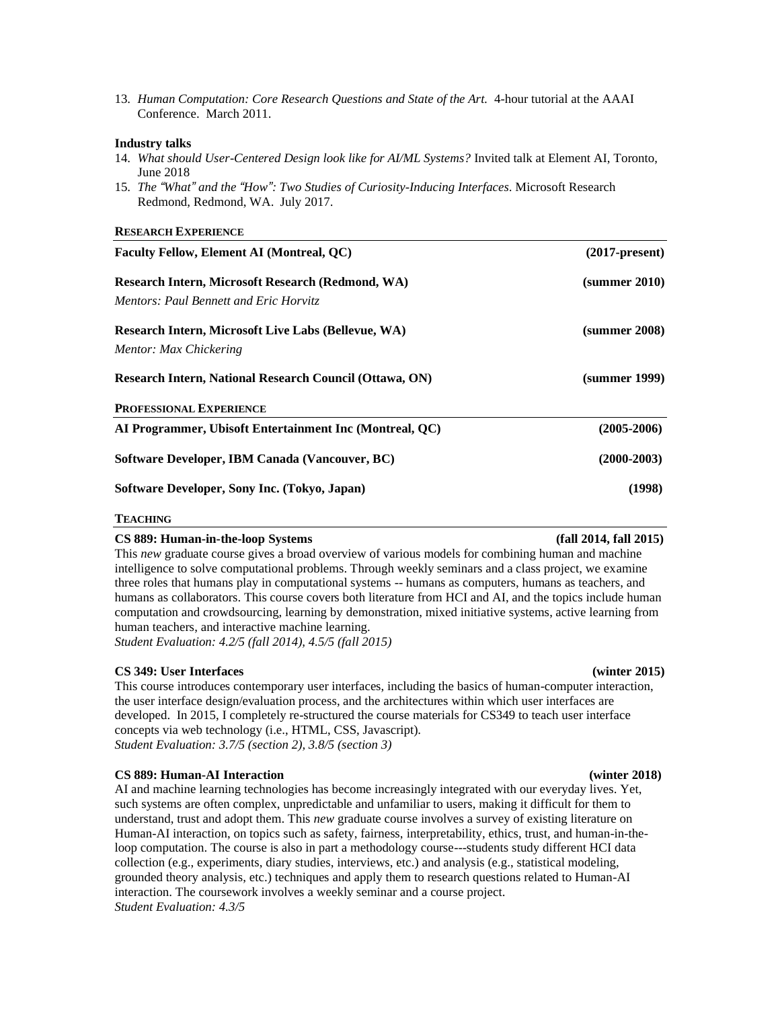13. *Human Computation: Core Research Questions and State of the Art.* 4-hour tutorial at the AAAI Conference. March 2011.

#### **Industry talks**

- 14. *What should User-Centered Design look like for AI/ML Systems?* Invited talk at Element AI, Toronto, June 2018
- 15. *The "What" and the "How": Two Studies of Curiosity-Inducing Interfaces.* Microsoft Research Redmond, Redmond, WA. July 2017.

#### **RESEARCH EXPERIENCE**

| $(2017-present)$ |
|------------------|
| (summer 2010)    |
|                  |
| (summer 2008)    |
|                  |
| (summer 1999)    |
|                  |
| $(2005 - 2006)$  |
| $(2000 - 2003)$  |
| (1998)           |
|                  |

#### **TEACHING**

#### **CS 889: Human-in-the-loop Systems (fall 2014, fall 2015)**

This *new* graduate course gives a broad overview of various models for combining human and machine intelligence to solve computational problems. Through weekly seminars and a class project, we examine three roles that humans play in computational systems -- humans as computers, humans as teachers, and humans as collaborators. This course covers both literature from HCI and AI, and the topics include human computation and crowdsourcing, learning by demonstration, mixed initiative systems, active learning from human teachers, and interactive machine learning. *Student Evaluation: 4.2/5 (fall 2014), 4.5/5 (fall 2015)*

#### **CS 349: User Interfaces (winter 2015)**

This course introduces contemporary user interfaces, including the basics of human-computer interaction, the user interface design/evaluation process, and the architectures within which user interfaces are developed. In 2015, I completely re-structured the course materials for CS349 to teach user interface concepts via web technology (i.e., HTML, CSS, Javascript). *Student Evaluation: 3.7/5 (section 2), 3.8/5 (section 3)*

#### **CS 889: Human-AI Interaction (winter 2018)**

AI and machine learning technologies has become increasingly integrated with our everyday lives. Yet, such systems are often complex, unpredictable and unfamiliar to users, making it difficult for them to understand, trust and adopt them. This *new* graduate course involves a survey of existing literature on Human-AI interaction, on topics such as safety, fairness, interpretability, ethics, trust, and human-in-theloop computation. The course is also in part a methodology course---students study different HCI data collection (e.g., experiments, diary studies, interviews, etc.) and analysis (e.g., statistical modeling, grounded theory analysis, etc.) techniques and apply them to research questions related to Human-AI interaction. The coursework involves a weekly seminar and a course project. *Student Evaluation: 4.3/5*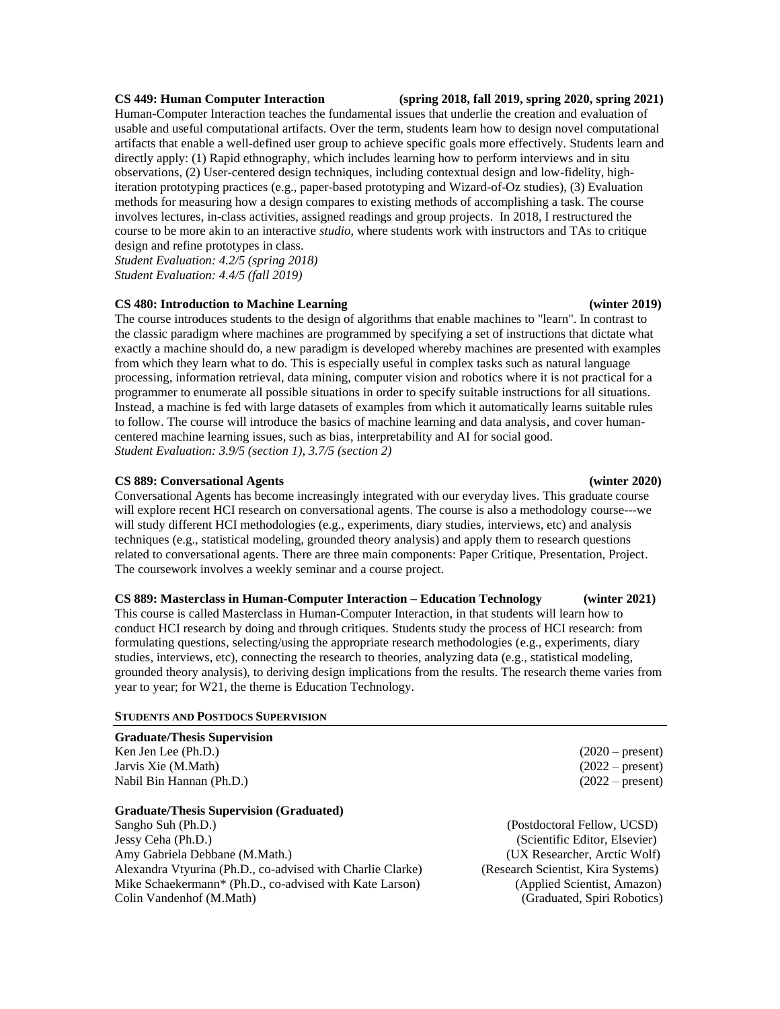Human-Computer Interaction teaches the fundamental issues that underlie the creation and evaluation of usable and useful computational artifacts. Over the term, students learn how to design novel computational artifacts that enable a well-defined user group to achieve specific goals more effectively. Students learn and directly apply: (1) Rapid ethnography, which includes learning how to perform interviews and in situ observations, (2) User-centered design techniques, including contextual design and low-fidelity, highiteration prototyping practices (e.g., paper-based prototyping and Wizard-of-Oz studies), (3) Evaluation methods for measuring how a design compares to existing methods of accomplishing a task. The course involves lectures, in-class activities, assigned readings and group projects. In 2018, I restructured the course to be more akin to an interactive *studio*, where students work with instructors and TAs to critique design and refine prototypes in class.

*Student Evaluation: 4.2/5 (spring 2018) Student Evaluation: 4.4/5 (fall 2019)*

#### **CS 480: Introduction to Machine Learning (winter 2019)**

The course introduces students to the design of algorithms that enable machines to "learn". In contrast to the classic paradigm where machines are programmed by specifying a set of instructions that dictate what exactly a machine should do, a new paradigm is developed whereby machines are presented with examples from which they learn what to do. This is especially useful in complex tasks such as natural language processing, information retrieval, data mining, computer vision and robotics where it is not practical for a programmer to enumerate all possible situations in order to specify suitable instructions for all situations. Instead, a machine is fed with large datasets of examples from which it automatically learns suitable rules to follow. The course will introduce the basics of machine learning and data analysis, and cover humancentered machine learning issues, such as bias, interpretability and AI for social good. *Student Evaluation: 3.9/5 (section 1), 3.7/5 (section 2)*

#### **CS 889: Conversational Agents (winter 2020)**

Conversational Agents has become increasingly integrated with our everyday lives. This graduate course will explore recent HCI research on conversational agents. The course is also a methodology course---we will study different HCI methodologies (e.g., experiments, diary studies, interviews, etc) and analysis techniques (e.g., statistical modeling, grounded theory analysis) and apply them to research questions related to conversational agents. There are three main components: Paper Critique, Presentation, Project. The coursework involves a weekly seminar and a course project.

#### **CS 889: Masterclass in Human-Computer Interaction – Education Technology (winter 2021)**

This course is called Masterclass in Human-Computer Interaction, in that students will learn how to conduct HCI research by doing and through critiques. Students study the process of HCI research: from formulating questions, selecting/using the appropriate research methodologies (e.g., experiments, diary studies, interviews, etc), connecting the research to theories, analyzing data (e.g., statistical modeling, grounded theory analysis), to deriving design implications from the results. The research theme varies from year to year; for W21, the theme is Education Technology.

#### **STUDENTS AND POSTDOCS SUPERVISION**

**Graduate/Thesis Supervision** Ken Jen Lee (Ph.D.) (2020 – present) Jarvis Xie (M.Math) (2022 – present) Nabil Bin Hannan (Ph.D.) (2022 – present)

#### **Graduate/Thesis Supervision (Graduated)**

Sangho Suh (Ph.D.) (Postdoctoral Fellow, UCSD) Jessy Ceha (Ph.D.) (Scientific Editor, Elsevier) Amy Gabriela Debbane (M.Math.) (UX Researcher, Arctic Wolf) Alexandra Vtyurina (Ph.D., co-advised with Charlie Clarke) (Research Scientist, Kira Systems) Mike Schaekermann\* (Ph.D., co-advised with Kate Larson) (Applied Scientist, Amazon) Colin Vandenhof (M.Math) (Graduated, Spiri Robotics)

# **CS 449: Human Computer Interaction (spring 2018, fall 2019, spring 2020, spring 2021)**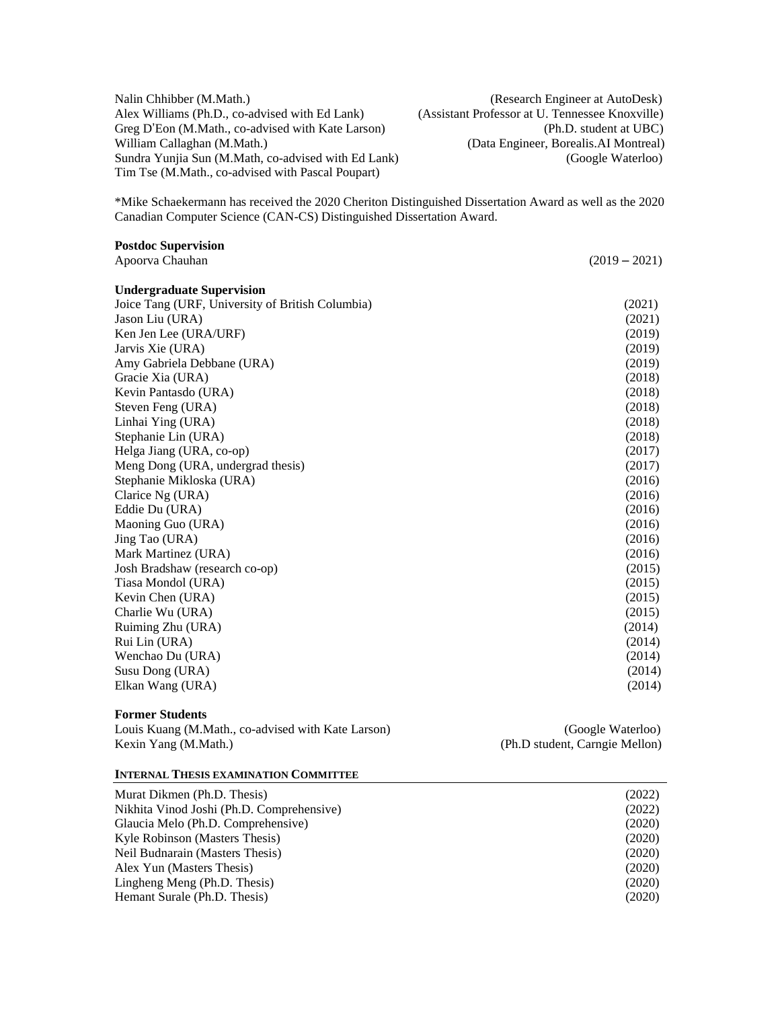Nalin Chhibber (M.Math.) (Research Engineer at AutoDesk) Alex Williams (Ph.D., co-advised with Ed Lank) (Assistant Professor at U. Tennessee Knoxville)<br>Greg D'Eon (M.Math., co-advised with Kate Larson) (Ph.D. student at UBC) Greg D'Eon (M.Math., co-advised with Kate Larson) William Callaghan (M.Math.) (Data Engineer, Borealis.AI Montreal) Sundra Yunjia Sun (M.Math, co-advised with Ed Lank) (Google Waterloo) Tim Tse (M.Math., co-advised with Pascal Poupart)

\*Mike Schaekermann has received the 2020 Cheriton Distinguished Dissertation Award as well as the 2020 Canadian Computer Science (CAN-CS) Distinguished Dissertation Award.

| <b>Postdoc Supervision</b>                       |                 |
|--------------------------------------------------|-----------------|
| Apoorva Chauhan                                  | $(2019 - 2021)$ |
| <b>Undergraduate Supervision</b>                 |                 |
| Joice Tang (URF, University of British Columbia) | (2021)          |
| Jason Liu (URA)                                  | (2021)          |
| Ken Jen Lee (URA/URF)                            | (2019)          |
| Jarvis Xie (URA)                                 | (2019)          |
| Amy Gabriela Debbane (URA)                       | (2019)          |
| Gracie Xia (URA)                                 | (2018)          |
| Kevin Pantasdo (URA)                             | (2018)          |
| Steven Feng (URA)                                | (2018)          |
| Linhai Ying (URA)                                | (2018)          |
| Stephanie Lin (URA)                              | (2018)          |
| Helga Jiang (URA, co-op)                         | (2017)          |
| Meng Dong (URA, undergrad thesis)                | (2017)          |
| Stephanie Mikloska (URA)                         | (2016)          |
| Clarice Ng (URA)                                 | (2016)          |
| Eddie Du (URA)                                   | (2016)          |
| Maoning Guo (URA)                                | (2016)          |
| Jing Tao (URA)                                   | (2016)          |
| Mark Martinez (URA)                              | (2016)          |
| Josh Bradshaw (research co-op)                   | (2015)          |
| Tiasa Mondol (URA)                               | (2015)          |
| Kevin Chen (URA)                                 | (2015)          |
| Charlie Wu (URA)                                 | (2015)          |
| Ruiming Zhu (URA)                                | (2014)          |
| Rui Lin (URA)                                    | (2014)          |
| Wenchao Du (URA)                                 | (2014)          |
| Susu Dong (URA)                                  | (2014)          |
| Elkan Wang (URA)                                 | (2014)          |

# **Former Students**

Louis Kuang (M.Math., co-advised with Kate Larson) (Google Waterloo) Kexin Yang (M.Math.) (Ph.D student, Carngie Mellon)

## **INTERNAL THESIS EXAMINATION COMMITTEE**

| Murat Dikmen (Ph.D. Thesis)               | (2022) |
|-------------------------------------------|--------|
| Nikhita Vinod Joshi (Ph.D. Comprehensive) | (2022) |
| Glaucia Melo (Ph.D. Comprehensive)        | (2020) |
| Kyle Robinson (Masters Thesis)            | (2020) |
| Neil Budnarain (Masters Thesis)           | (2020) |
| Alex Yun (Masters Thesis)                 | (2020) |
| Lingheng Meng (Ph.D. Thesis)              | (2020) |
| Hemant Surale (Ph.D. Thesis)              | (2020) |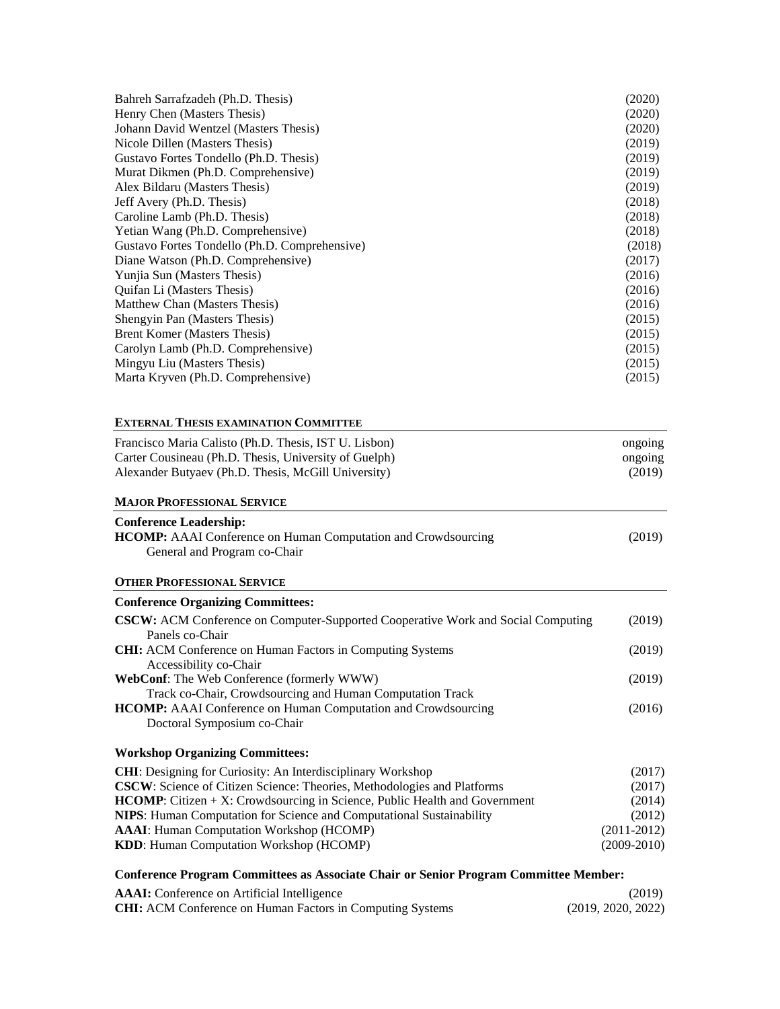| Bahreh Sarrafzadeh (Ph.D. Thesis)             | (2020) |
|-----------------------------------------------|--------|
| Henry Chen (Masters Thesis)                   | (2020) |
| Johann David Wentzel (Masters Thesis)         | (2020) |
| Nicole Dillen (Masters Thesis)                | (2019) |
| Gustavo Fortes Tondello (Ph.D. Thesis)        | (2019) |
| Murat Dikmen (Ph.D. Comprehensive)            | (2019) |
| Alex Bildaru (Masters Thesis)                 | (2019) |
| Jeff Avery (Ph.D. Thesis)                     | (2018) |
| Caroline Lamb (Ph.D. Thesis)                  | (2018) |
| Yetian Wang (Ph.D. Comprehensive)             | (2018) |
| Gustavo Fortes Tondello (Ph.D. Comprehensive) | (2018) |
| Diane Watson (Ph.D. Comprehensive)            | (2017) |
| Yunjia Sun (Masters Thesis)                   | (2016) |
| Quifan Li (Masters Thesis)                    | (2016) |
| Matthew Chan (Masters Thesis)                 | (2016) |
| Shengyin Pan (Masters Thesis)                 | (2015) |
| Brent Komer (Masters Thesis)                  | (2015) |
| Carolyn Lamb (Ph.D. Comprehensive)            | (2015) |
| Mingyu Liu (Masters Thesis)                   | (2015) |
| Marta Kryven (Ph.D. Comprehensive)            | (2015) |
|                                               |        |

# **EXTERNAL THESIS EXAMINATION COMMITTEE**

| Francisco Maria Calisto (Ph.D. Thesis, IST U. Lisbon)                                                | ongoing         |
|------------------------------------------------------------------------------------------------------|-----------------|
| Carter Cousineau (Ph.D. Thesis, University of Guelph)                                                | ongoing         |
| Alexander Butyaev (Ph.D. Thesis, McGill University)                                                  | (2019)          |
| <b>MAJOR PROFESSIONAL SERVICE</b>                                                                    |                 |
| <b>Conference Leadership:</b>                                                                        |                 |
| <b>HCOMP:</b> AAAI Conference on Human Computation and Crowdsourcing<br>General and Program co-Chair | (2019)          |
| <b>OTHER PROFESSIONAL SERVICE</b>                                                                    |                 |
| <b>Conference Organizing Committees:</b>                                                             |                 |
| <b>CSCW:</b> ACM Conference on Computer-Supported Cooperative Work and Social Computing              | (2019)          |
| Panels co-Chair                                                                                      |                 |
| <b>CHI:</b> ACM Conference on Human Factors in Computing Systems                                     | (2019)          |
| Accessibility co-Chair                                                                               |                 |
| WebConf: The Web Conference (formerly WWW)                                                           | (2019)          |
| Track co-Chair, Crowdsourcing and Human Computation Track                                            |                 |
| HCOMP: AAAI Conference on Human Computation and Crowdsourcing<br>Doctoral Symposium co-Chair         | (2016)          |
| <b>Workshop Organizing Committees:</b>                                                               |                 |
| <b>CHI:</b> Designing for Curiosity: An Interdisciplinary Workshop                                   | (2017)          |
| CSCW: Science of Citizen Science: Theories, Methodologies and Platforms                              | (2017)          |
| <b>HCOMP</b> : Citizen $+ X$ : Crowdsourcing in Science, Public Health and Government                | (2014)          |
| NIPS: Human Computation for Science and Computational Sustainability                                 | (2012)          |
| <b>AAAI:</b> Human Computation Workshop (HCOMP)                                                      | $(2011-2012)$   |
| <b>KDD:</b> Human Computation Workshop (HCOMP)                                                       | $(2009 - 2010)$ |
|                                                                                                      |                 |

# **Conference Program Committees as Associate Chair or Senior Program Committee Member:**

| <b>AAAI:</b> Conference on Artificial Intelligence               | (2019)             |
|------------------------------------------------------------------|--------------------|
| <b>CHI:</b> ACM Conference on Human Factors in Computing Systems | (2019, 2020, 2022) |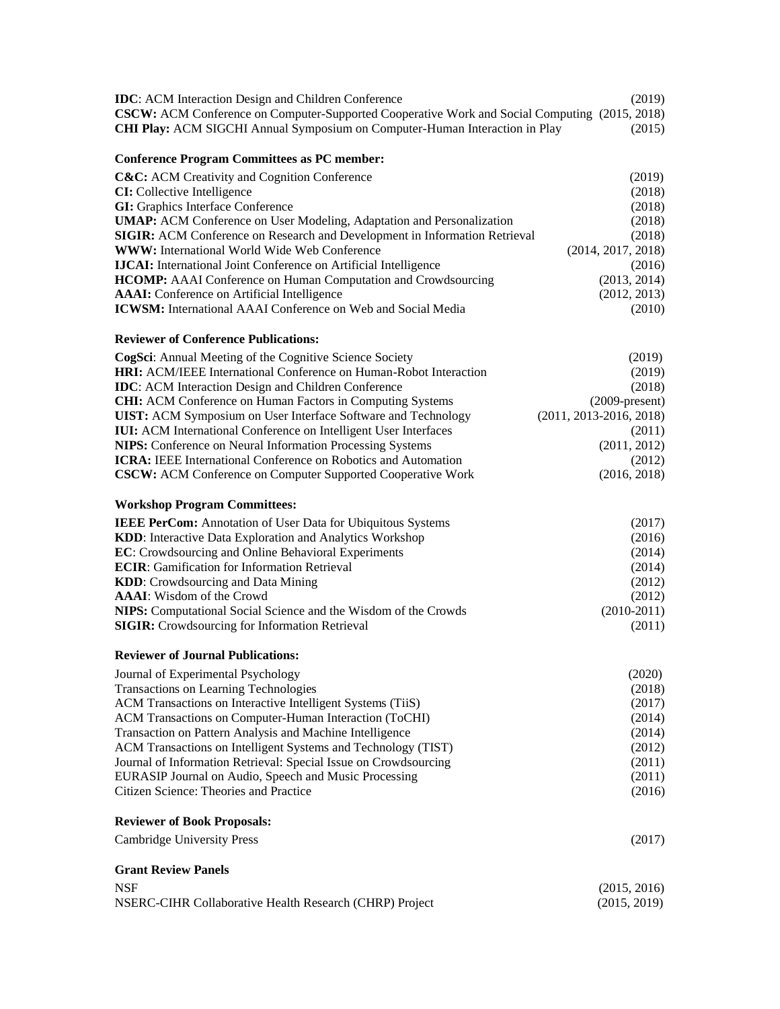| <b>IDC:</b> ACM Interaction Design and Children Conference                                    | (2019)                      |
|-----------------------------------------------------------------------------------------------|-----------------------------|
| CSCW: ACM Conference on Computer-Supported Cooperative Work and Social Computing (2015, 2018) |                             |
| CHI Play: ACM SIGCHI Annual Symposium on Computer-Human Interaction in Play                   | (2015)                      |
| <b>Conference Program Committees as PC member:</b>                                            |                             |
| C&C: ACM Creativity and Cognition Conference                                                  | (2019)                      |
| <b>CI:</b> Collective Intelligence                                                            | (2018)                      |
| <b>GI:</b> Graphics Interface Conference                                                      | (2018)                      |
| <b>UMAP:</b> ACM Conference on User Modeling, Adaptation and Personalization                  | (2018)                      |
| SIGIR: ACM Conference on Research and Development in Information Retrieval                    | (2018)                      |
| <b>WWW:</b> International World Wide Web Conference                                           | (2014, 2017, 2018)          |
| <b>IJCAI:</b> International Joint Conference on Artificial Intelligence                       | (2016)                      |
| HCOMP: AAAI Conference on Human Computation and Crowdsourcing                                 | (2013, 2014)                |
| <b>AAAI:</b> Conference on Artificial Intelligence                                            | (2012, 2013)                |
| <b>ICWSM:</b> International AAAI Conference on Web and Social Media                           | (2010)                      |
| <b>Reviewer of Conference Publications:</b>                                                   |                             |
| CogSci: Annual Meeting of the Cognitive Science Society                                       | (2019)                      |
| HRI: ACM/IEEE International Conference on Human-Robot Interaction                             | (2019)                      |
| <b>IDC:</b> ACM Interaction Design and Children Conference                                    | (2018)                      |
| <b>CHI:</b> ACM Conference on Human Factors in Computing Systems                              | $(2009-present)$            |
| <b>UIST:</b> ACM Symposium on User Interface Software and Technology                          | $(2011, 2013 - 2016, 2018)$ |
| IUI: ACM International Conference on Intelligent User Interfaces                              | (2011)                      |
| NIPS: Conference on Neural Information Processing Systems                                     | (2011, 2012)                |
| <b>ICRA:</b> IEEE International Conference on Robotics and Automation                         | (2012)                      |
| <b>CSCW:</b> ACM Conference on Computer Supported Cooperative Work                            | (2016, 2018)                |
| <b>Workshop Program Committees:</b>                                                           |                             |
| <b>IEEE PerCom:</b> Annotation of User Data for Ubiquitous Systems                            | (2017)                      |
| KDD: Interactive Data Exploration and Analytics Workshop                                      | (2016)                      |
| <b>EC</b> : Crowdsourcing and Online Behavioral Experiments                                   | (2014)                      |
| <b>ECIR:</b> Gamification for Information Retrieval                                           | (2014)                      |
| <b>KDD:</b> Crowdsourcing and Data Mining                                                     | (2012)                      |
| <b>AAAI</b> : Wisdom of the Crowd                                                             | (2012)                      |
| NIPS: Computational Social Science and the Wisdom of the Crowds                               | $(2010-2011)$               |
| <b>SIGIR:</b> Crowdsourcing for Information Retrieval                                         | (2011)                      |
| <b>Reviewer of Journal Publications:</b>                                                      |                             |
| Journal of Experimental Psychology                                                            | (2020)                      |
| Transactions on Learning Technologies                                                         | (2018)                      |
| ACM Transactions on Interactive Intelligent Systems (TiiS)                                    | (2017)                      |
| ACM Transactions on Computer-Human Interaction (ToCHI)                                        | (2014)                      |
| Transaction on Pattern Analysis and Machine Intelligence                                      | (2014)                      |
| ACM Transactions on Intelligent Systems and Technology (TIST)                                 | (2012)                      |
| Journal of Information Retrieval: Special Issue on Crowdsourcing                              | (2011)                      |
| EURASIP Journal on Audio, Speech and Music Processing                                         | (2011)                      |
| Citizen Science: Theories and Practice                                                        | (2016)                      |
| <b>Reviewer of Book Proposals:</b>                                                            |                             |
| <b>Cambridge University Press</b>                                                             | (2017)                      |
| <b>Grant Review Panels</b>                                                                    |                             |
| <b>NSF</b>                                                                                    | (2015, 2016)                |
| NSERC-CIHR Collaborative Health Research (CHRP) Project                                       | (2015, 2019)                |